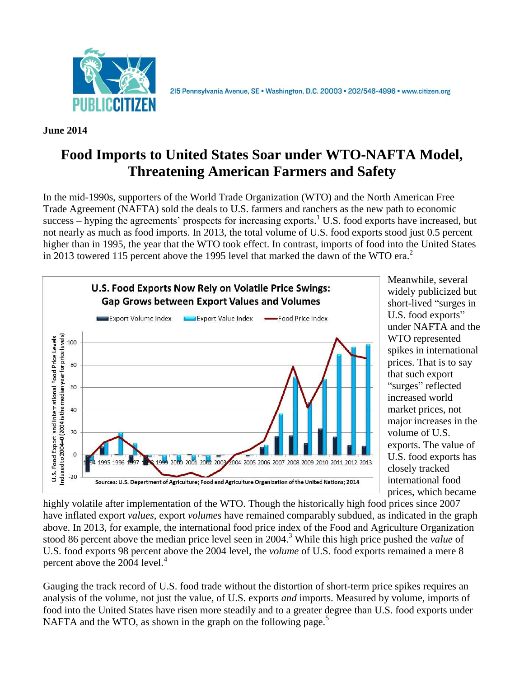

2I5 Pennsylvania Avenue, SE · Washington, D.C. 20003 · 202/546-4996 · www.citizen.org

**June 2014**

# **Food Imports to United States Soar under WTO-NAFTA Model, Threatening American Farmers and Safety**

In the mid-1990s, supporters of the World Trade Organization (WTO) and the North American Free Trade Agreement (NAFTA) sold the deals to U.S. farmers and ranchers as the new path to economic success – hyping the agreements' prospects for increasing exports.<sup>1</sup> U.S. food exports have increased, but not nearly as much as food imports. In 2013, the total volume of U.S. food exports stood just 0.5 percent higher than in 1995, the year that the WTO took effect. In contrast, imports of food into the United States in 2013 towered 115 percent above the 1995 level that marked the dawn of the WTO era.<sup>2</sup>



Meanwhile, several widely publicized but short-lived "surges in U.S. food exports" under NAFTA and the WTO represented spikes in international prices. That is to say that such export "surges" reflected increased world market prices, not major increases in the volume of U.S. exports. The value of U.S. food exports has closely tracked international food prices, which became

highly volatile after implementation of the WTO. Though the historically high food prices since 2007 have inflated export *values*, export *volumes* have remained comparably subdued, as indicated in the graph above. In 2013, for example, the international food price index of the Food and Agriculture Organization stood 86 percent above the median price level seen in 2004. <sup>3</sup> While this high price pushed the *value* of U.S. food exports 98 percent above the 2004 level, the *volume* of U.S. food exports remained a mere 8 percent above the 2004 level.<sup>4</sup>

Gauging the track record of U.S. food trade without the distortion of short-term price spikes requires an analysis of the volume*,* not just the value*,* of U.S. exports *and* imports. Measured by volume, imports of food into the United States have risen more steadily and to a greater degree than U.S. food exports under NAFTA and the WTO, as shown in the graph on the following page.<sup>5</sup>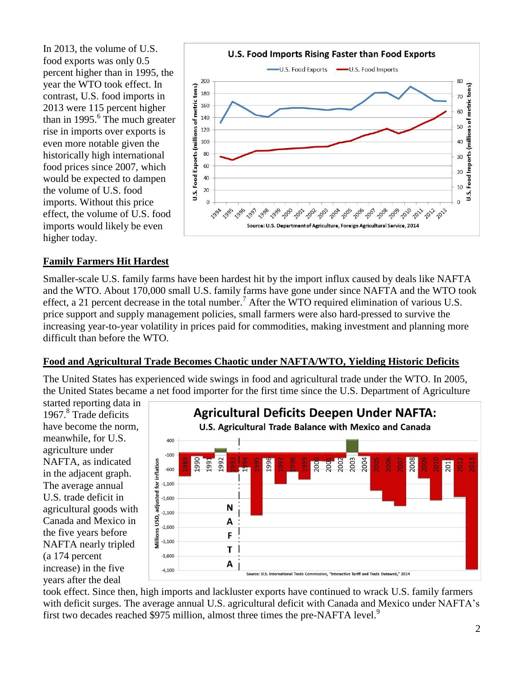In 2013, the volume of U.S. food exports was only 0.5 percent higher than in 1995, the year the WTO took effect. In contrast, U.S. food imports in 2013 were 115 percent higher than in 1995. $\overline{6}$  The much greater rise in imports over exports is even more notable given the historically high international food prices since 2007, which would be expected to dampen the volume of U.S. food imports. Without this price effect, the volume of U.S. food imports would likely be even higher today.



### **Family Farmers Hit Hardest**

Smaller-scale U.S. family farms have been hardest hit by the import influx caused by deals like NAFTA and the WTO. About 170,000 small U.S. family farms have gone under since NAFTA and the WTO took effect, a 21 percent decrease in the total number.<sup>7</sup> After the WTO required elimination of various U.S. price support and supply management policies, small farmers were also hard-pressed to survive the increasing year-to-year volatility in prices paid for commodities, making investment and planning more difficult than before the WTO.

#### **Food and Agricultural Trade Becomes Chaotic under NAFTA/WTO, Yielding Historic Deficits**

The United States has experienced wide swings in food and agricultural trade under the WTO. In 2005, the United States became a net food importer for the first time since the U.S. Department of Agriculture

started reporting data in 1967.<sup>8</sup> Trade deficits have become the norm, meanwhile, for U.S. agriculture under NAFTA, as indicated in the adjacent graph. The average annual U.S. trade deficit in agricultural goods with Canada and Mexico in the five years before NAFTA nearly tripled (a 174 percent increase) in the five years after the deal



took effect. Since then, high imports and lackluster exports have continued to wrack U.S. family farmers with deficit surges. The average annual U.S. agricultural deficit with Canada and Mexico under NAFTA's first two decades reached \$975 million, almost three times the pre-NAFTA level.<sup>9</sup>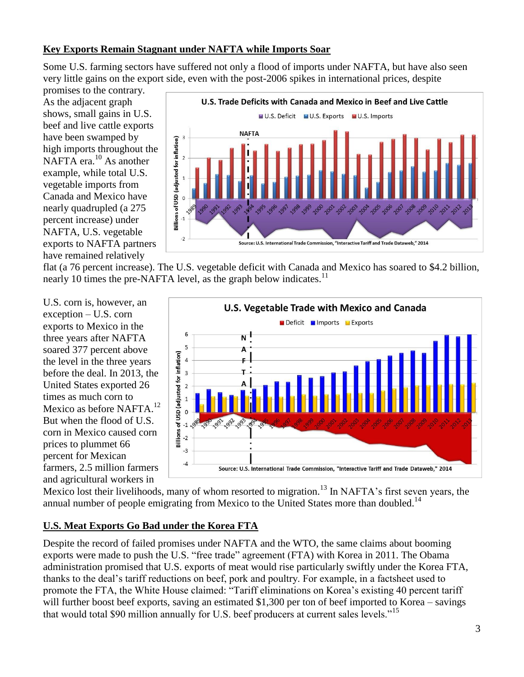#### **Key Exports Remain Stagnant under NAFTA while Imports Soar**

Some U.S. farming sectors have suffered not only a flood of imports under NAFTA, but have also seen very little gains on the export side, even with the post-2006 spikes in international prices, despite

promises to the contrary. As the adjacent graph shows, small gains in U.S. beef and live cattle exports have been swamped by high imports throughout the NAFTA era.<sup>10</sup> As another example, while total U.S. vegetable imports from Canada and Mexico have nearly quadrupled (a 275 percent increase) under NAFTA, U.S. vegetable exports to NAFTA partners have remained relatively



flat (a 76 percent increase). The U.S. vegetable deficit with Canada and Mexico has soared to \$4.2 billion, nearly 10 times the pre-NAFTA level, as the graph below indicates.<sup>11</sup>

U.S. corn is, however, an exception – U.S. corn exports to Mexico in the three years after NAFTA soared 377 percent above the level in the three years before the deal. In 2013, the United States exported 26 times as much corn to Mexico as before NAFTA.<sup>12</sup> But when the flood of U.S. corn in Mexico caused corn prices to plummet 66 percent for Mexican farmers, 2.5 million farmers and agricultural workers in



Mexico lost their livelihoods, many of whom resorted to migration.<sup>13</sup> In NAFTA's first seven years, the annual number of people emigrating from Mexico to the United States more than doubled.<sup>14</sup>

#### **U.S. Meat Exports Go Bad under the Korea FTA**

Despite the record of failed promises under NAFTA and the WTO, the same claims about booming exports were made to push the U.S. "free trade" agreement (FTA) with Korea in 2011. The Obama administration promised that U.S. exports of meat would rise particularly swiftly under the Korea FTA, thanks to the deal's tariff reductions on beef, pork and poultry. For example, in a factsheet used to promote the FTA, the White House claimed: "Tariff eliminations on Korea's existing 40 percent tariff will further boost beef exports, saving an estimated \$1,300 per ton of beef imported to Korea – savings that would total \$90 million annually for U.S. beef producers at current sales levels."<sup>15</sup>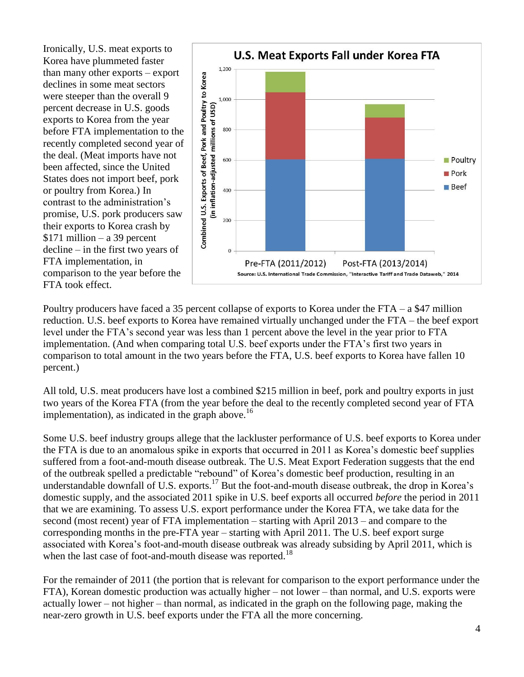Ironically, U.S. meat exports to Korea have plummeted faster than many other exports – export declines in some meat sectors were steeper than the overall 9 percent decrease in U.S. goods exports to Korea from the year before FTA implementation to the recently completed second year of the deal. (Meat imports have not been affected, since the United States does not import beef, pork or poultry from Korea.) In contrast to the administration's promise, U.S. pork producers saw their exports to Korea crash by  $$171$  million – a 39 percent decline – in the first two years of FTA implementation, in comparison to the year before the FTA took effect.



Poultry producers have faced a 35 percent collapse of exports to Korea under the FTA – a \$47 million reduction. U.S. beef exports to Korea have remained virtually unchanged under the FTA – the beef export level under the FTA's second year was less than 1 percent above the level in the year prior to FTA implementation. (And when comparing total U.S. beef exports under the FTA's first two years in comparison to total amount in the two years before the FTA, U.S. beef exports to Korea have fallen 10 percent.)

All told, U.S. meat producers have lost a combined \$215 million in beef, pork and poultry exports in just two years of the Korea FTA (from the year before the deal to the recently completed second year of FTA implementation), as indicated in the graph above.<sup>16</sup>

Some U.S. beef industry groups allege that the lackluster performance of U.S. beef exports to Korea under the FTA is due to an anomalous spike in exports that occurred in 2011 as Korea's domestic beef supplies suffered from a foot-and-mouth disease outbreak. The U.S. Meat Export Federation suggests that the end of the outbreak spelled a predictable "rebound" of Korea's domestic beef production, resulting in an understandable downfall of U.S. exports.<sup>17</sup> But the foot-and-mouth disease outbreak, the drop in Korea's domestic supply, and the associated 2011 spike in U.S. beef exports all occurred *before* the period in 2011 that we are examining. To assess U.S. export performance under the Korea FTA, we take data for the second (most recent) year of FTA implementation – starting with April 2013 – and compare to the corresponding months in the pre-FTA year – starting with April 2011. The U.S. beef export surge associated with Korea's foot-and-mouth disease outbreak was already subsiding by April 2011, which is when the last case of foot-and-mouth disease was reported.<sup>18</sup>

For the remainder of 2011 (the portion that is relevant for comparison to the export performance under the FTA), Korean domestic production was actually higher – not lower – than normal, and U.S. exports were actually lower – not higher – than normal, as indicated in the graph on the following page, making the near-zero growth in U.S. beef exports under the FTA all the more concerning.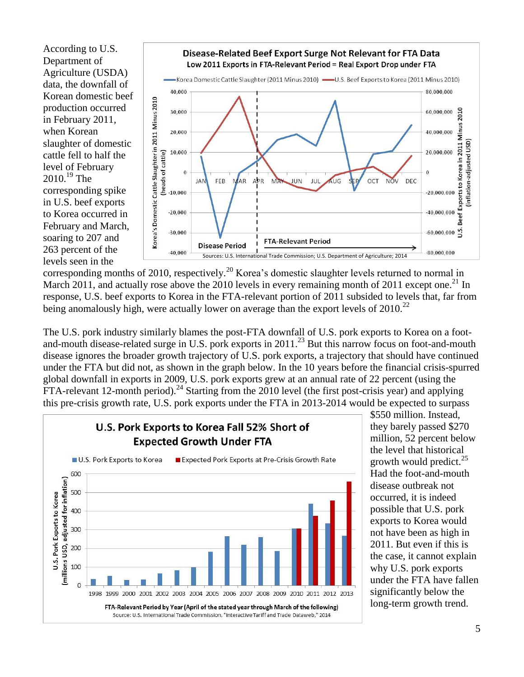According to U.S. Department of Agriculture (USDA) data, the downfall of Korean domestic beef production occurred in February 2011, when Korean slaughter of domestic cattle fell to half the level of February  $2010.<sup>19</sup>$  The corresponding spike in U.S. beef exports to Korea occurred in February and March, soaring to 207 and 263 percent of the levels seen in the



corresponding months of 2010, respectively.<sup>20</sup> Korea's domestic slaughter levels returned to normal in March 2011, and actually rose above the 2010 levels in every remaining month of 2011 except one.<sup>21</sup> In response, U.S. beef exports to Korea in the FTA-relevant portion of 2011 subsided to levels that, far from being anomalously high, were actually lower on average than the export levels of 2010.<sup>22</sup>

The U.S. pork industry similarly blames the post-FTA downfall of U.S. pork exports to Korea on a footand-mouth disease-related surge in U.S. pork exports in 2011.<sup>23</sup> But this narrow focus on foot-and-mouth disease ignores the broader growth trajectory of U.S. pork exports, a trajectory that should have continued under the FTA but did not, as shown in the graph below. In the 10 years before the financial crisis-spurred global downfall in exports in 2009, U.S. pork exports grew at an annual rate of 22 percent (using the  $\overline{FTA}$ -relevant 12-month period).<sup>24</sup> Starting from the 2010 level (the first post-crisis year) and applying this pre-crisis growth rate, U.S. pork exports under the FTA in 2013-2014 would be expected to surpass



\$550 million. Instead, they barely passed \$270 million, 52 percent below the level that historical growth would predict.<sup>25</sup> Had the foot-and-mouth disease outbreak not occurred, it is indeed possible that U.S. pork exports to Korea would not have been as high in 2011. But even if this is the case, it cannot explain why U.S. pork exports under the FTA have fallen significantly below the long-term growth trend.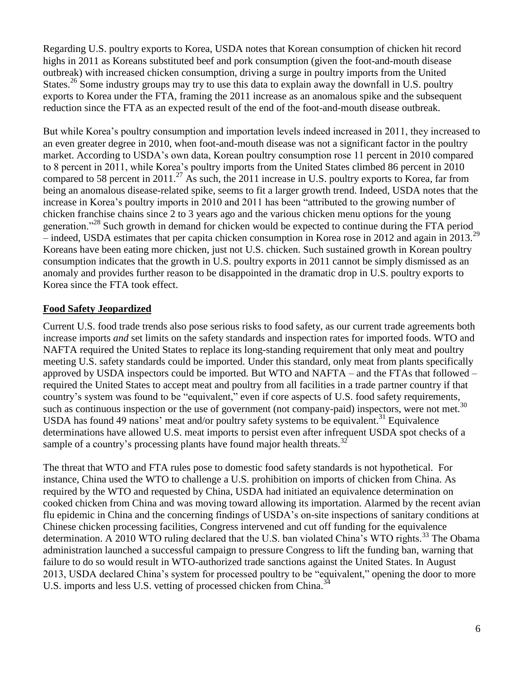Regarding U.S. poultry exports to Korea, USDA notes that Korean consumption of chicken hit record highs in 2011 as Koreans substituted beef and pork consumption (given the foot-and-mouth disease outbreak) with increased chicken consumption, driving a surge in poultry imports from the United States.<sup>26</sup> Some industry groups may try to use this data to explain away the downfall in U.S. poultry exports to Korea under the FTA, framing the 2011 increase as an anomalous spike and the subsequent reduction since the FTA as an expected result of the end of the foot-and-mouth disease outbreak.

But while Korea's poultry consumption and importation levels indeed increased in 2011, they increased to an even greater degree in 2010, when foot-and-mouth disease was not a significant factor in the poultry market. According to USDA's own data, Korean poultry consumption rose 11 percent in 2010 compared to 8 percent in 2011, while Korea's poultry imports from the United States climbed 86 percent in 2010 compared to 58 percent in 2011.<sup>27</sup> As such, the 2011 increase in U.S. poultry exports to Korea, far from being an anomalous disease-related spike, seems to fit a larger growth trend. Indeed, USDA notes that the increase in Korea's poultry imports in 2010 and 2011 has been "attributed to the growing number of chicken franchise chains since 2 to 3 years ago and the various chicken menu options for the young generation."<sup>28</sup> Such growth in demand for chicken would be expected to continue during the FTA period – indeed, USDA estimates that per capita chicken consumption in Korea rose in 2012 and again in 2013.<sup>29</sup> Koreans have been eating more chicken, just not U.S. chicken. Such sustained growth in Korean poultry consumption indicates that the growth in U.S. poultry exports in 2011 cannot be simply dismissed as an anomaly and provides further reason to be disappointed in the dramatic drop in U.S. poultry exports to Korea since the FTA took effect.

## **Food Safety Jeopardized**

Current U.S. food trade trends also pose serious risks to food safety, as our current trade agreements both increase imports *and* set limits on the safety standards and inspection rates for imported foods. WTO and NAFTA required the United States to replace its long-standing requirement that only meat and poultry meeting U.S. safety standards could be imported. Under this standard, only meat from plants specifically approved by USDA inspectors could be imported. But WTO and NAFTA – and the FTAs that followed – required the United States to accept meat and poultry from all facilities in a trade partner country if that country's system was found to be "equivalent," even if core aspects of U.S. food safety requirements, such as continuous inspection or the use of government (not company-paid) inspectors, were not met.<sup>30</sup> USDA has found 49 nations' meat and/or poultry safety systems to be equivalent.<sup>31</sup> Equivalence determinations have allowed U.S. meat imports to persist even after infrequent USDA spot checks of a sample of a country's processing plants have found major health threats.<sup>32</sup>

The threat that WTO and FTA rules pose to domestic food safety standards is not hypothetical. For instance, China used the WTO to challenge a U.S. prohibition on imports of chicken from China. As required by the WTO and requested by China, USDA had initiated an equivalence determination on cooked chicken from China and was moving toward allowing its importation. Alarmed by the recent avian flu epidemic in China and the concerning findings of USDA's on-site inspections of sanitary conditions at Chinese chicken processing facilities, Congress intervened and cut off funding for the equivalence determination. A 2010 WTO ruling declared that the U.S. ban violated China's WTO rights.<sup>33</sup> The Obama administration launched a successful campaign to pressure Congress to lift the funding ban, warning that failure to do so would result in WTO-authorized trade sanctions against the United States. In August 2013, USDA declared China's system for processed poultry to be "equivalent," opening the door to more U.S. imports and less U.S. vetting of processed chicken from China.<sup>3</sup>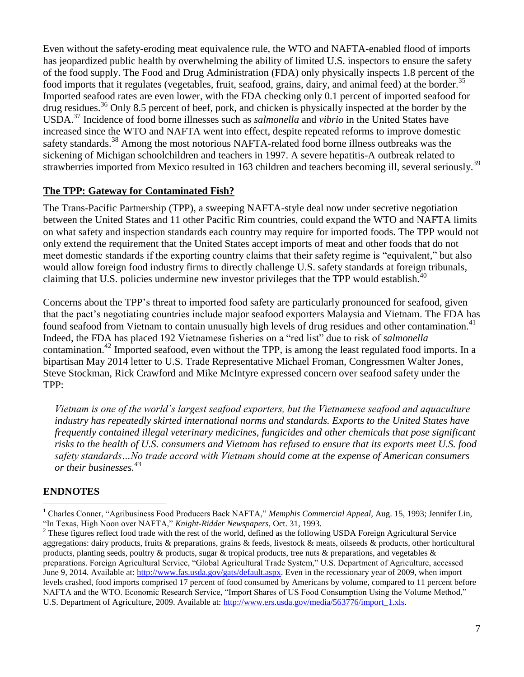Even without the safety-eroding meat equivalence rule, the WTO and NAFTA-enabled flood of imports has jeopardized public health by overwhelming the ability of limited U.S. inspectors to ensure the safety of the food supply. The Food and Drug Administration (FDA) only physically inspects 1.8 percent of the food imports that it regulates (vegetables, fruit, seafood, grains, dairy, and animal feed) at the border.<sup>35</sup> Imported seafood rates are even lower, with the FDA checking only 0.1 percent of imported seafood for drug residues.<sup>36</sup> Only 8.5 percent of beef, pork, and chicken is physically inspected at the border by the USDA.<sup>37</sup> Incidence of food borne illnesses such as *salmonella* and *vibrio* in the United States have increased since the WTO and NAFTA went into effect, despite repeated reforms to improve domestic safety standards.<sup>38</sup> Among the most notorious NAFTA-related food borne illness outbreaks was the sickening of Michigan schoolchildren and teachers in 1997. A severe hepatitis-A outbreak related to strawberries imported from Mexico resulted in 163 children and teachers becoming ill, several seriously.<sup>39</sup>

#### **The TPP: Gateway for Contaminated Fish?**

The Trans-Pacific Partnership (TPP), a sweeping NAFTA-style deal now under secretive negotiation between the United States and 11 other Pacific Rim countries, could expand the WTO and NAFTA limits on what safety and inspection standards each country may require for imported foods. The TPP would not only extend the requirement that the United States accept imports of meat and other foods that do not meet domestic standards if the exporting country claims that their safety regime is "equivalent," but also would allow foreign food industry firms to directly challenge U.S. safety standards at foreign tribunals, claiming that U.S. policies undermine new investor privileges that the TPP would establish.<sup>40</sup>

Concerns about the TPP's threat to imported food safety are particularly pronounced for seafood, given that the pact's negotiating countries include major seafood exporters Malaysia and Vietnam. The FDA has found seafood from Vietnam to contain unusually high levels of drug residues and other contamination.<sup>41</sup> Indeed, the FDA has placed 192 Vietnamese fisheries on a "red list" due to risk of *salmonella* contamination.<sup>42</sup> Imported seafood, even without the TPP, is among the least regulated food imports. In a bipartisan May 2014 letter to U.S. Trade Representative Michael Froman, Congressmen Walter Jones, Steve Stockman, Rick Crawford and Mike McIntyre expressed concern over seafood safety under the TPP:

*Vietnam is one of the world's largest seafood exporters, but the Vietnamese seafood and aquaculture industry has repeatedly skirted international norms and standards. Exports to the United States have frequently contained illegal veterinary medicines, fungicides and other chemicals that pose significant risks to the health of U.S. consumers and Vietnam has refused to ensure that its exports meet U.S. food safety standards…No trade accord with Vietnam should come at the expense of American consumers or their businesses.<sup>43</sup>*

#### **ENDNOTES**

 $\ddot{\phantom{a}}$ 

<sup>1</sup> Charles Conner, "Agribusiness Food Producers Back NAFTA," *Memphis Commercial Appeal,* Aug. 15, 1993; Jennifer Lin, "In Texas, High Noon over NAFTA," *Knight-Ridder Newspapers,* Oct. 31, 1993.

 $2$  These figures reflect food trade with the rest of the world, defined as the following USDA Foreign Agricultural Service aggregations: dairy products, fruits & preparations, grains & feeds, livestock & meats, oilseeds & products, other horticultural products, planting seeds, poultry & products, sugar & tropical products, tree nuts & preparations, and vegetables  $\&$ preparations. Foreign Agricultural Service, "Global Agricultural Trade System," U.S. Department of Agriculture, accessed June 9, 2014. Available at: [http://www.fas.usda.gov/gats/default.aspx.](http://www.fas.usda.gov/gats/default.aspx) Even in the recessionary year of 2009, when import levels crashed, food imports comprised 17 percent of food consumed by Americans by volume, compared to 11 percent before NAFTA and the WTO. Economic Research Service, "Import Shares of US Food Consumption Using the Volume Method," U.S. Department of Agriculture, 2009. Available at: [http://www.ers.usda.gov/media/563776/import\\_1.xls.](http://www.ers.usda.gov/media/563776/import_1.xls)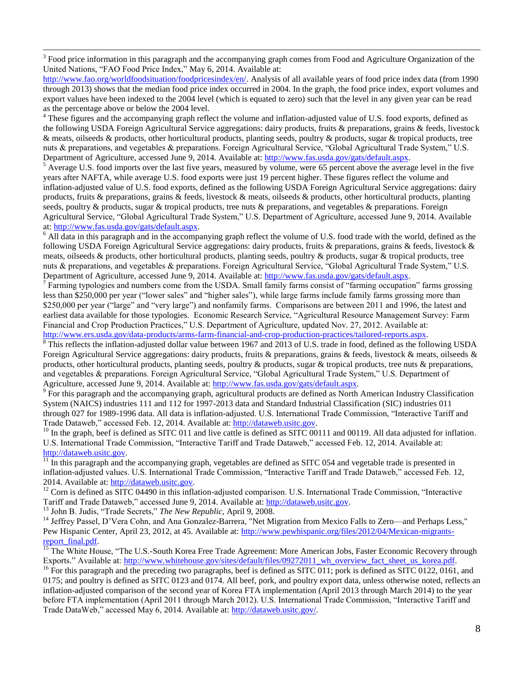$3$  Food price information in this paragraph and the accompanying graph comes from Food and Agriculture Organization of the United Nations, "FAO Food Price Index," May 6, 2014. Available at:

[http://www.fao.org/worldfoodsituation/foodpricesindex/en/.](http://www.fao.org/worldfoodsituation/foodpricesindex/en/) Analysis of all available years of food price index data (from 1990 through 2013) shows that the median food price index occurred in 2004. In the graph, the food price index, export volumes and export values have been indexed to the 2004 level (which is equated to zero) such that the level in any given year can be read as the percentage above or below the 2004 level.

 $4$  These figures and the accompanying graph reflect the volume and inflation-adjusted value of U.S. food exports, defined as the following USDA Foreign Agricultural Service aggregations: dairy products, fruits & preparations, grains & feeds, livestock & meats, oilseeds & products, other horticultural products, planting seeds, poultry & products, sugar & tropical products, tree nuts & preparations, and vegetables & preparations. Foreign Agricultural Service, "Global Agricultural Trade System," U.S. Department of Agriculture, accessed June 9, 2014. Available at: [http://www.fas.usda.gov/gats/default.aspx.](http://www.fas.usda.gov/gats/default.aspx)

 $<sup>5</sup>$  Average U.S. food imports over the last five years, measured by volume, were 65 percent above the average level in the five</sup> years after NAFTA, while average U.S. food exports were just 19 percent higher. These figures reflect the volume and inflation-adjusted value of U.S. food exports, defined as the following USDA Foreign Agricultural Service aggregations: dairy products, fruits & preparations, grains & feeds, livestock & meats, oilseeds & products, other horticultural products, planting seeds, poultry & products, sugar & tropical products, tree nuts & preparations, and vegetables & preparations. Foreign Agricultural Service, "Global Agricultural Trade System," U.S. Department of Agriculture, accessed June 9, 2014. Available at: [http://www.fas.usda.gov/gats/default.aspx.](http://www.fas.usda.gov/gats/default.aspx)

 $6$  All data in this paragraph and in the accompanying graph reflect the volume of U.S. food trade with the world, defined as the following USDA Foreign Agricultural Service aggregations: dairy products, fruits & preparations, grains & feeds, livestock & meats, oilseeds & products, other horticultural products, planting seeds, poultry & products, sugar & tropical products, tree nuts & preparations, and vegetables & preparations. Foreign Agricultural Service, "Global Agricultural Trade System," U.S. Department of Agriculture, accessed June 9, 2014. Available at: [http://www.fas.usda.gov/gats/default.aspx.](http://www.fas.usda.gov/gats/default.aspx)

 $^7$  Farming typologies and numbers come from the USDA. Small family farms consist of "farming occupation" farms grossing less than \$250,000 per year ("lower sales" and "higher sales"), while large farms include family farms grossing more than \$250,000 per year ("large" and "very large") and nonfamily farms. Comparisons are between 2011 and 1996, the latest and earliest data available for those typologies. Economic Research Service, "Agricultural Resource Management Survey: Farm Financial and Crop Production Practices," U.S. Department of Agriculture, updated Nov. 27, 2012. Available at: [http://www.ers.usda.gov/data-products/arms-farm-financial-and-crop-production-practices/tailored-reports.aspx.](http://www.ers.usda.gov/data-products/arms-farm-financial-and-crop-production-practices/tailored-reports.aspx)

<sup>8</sup> This reflects the inflation-adjusted dollar value between 1967 and 2013 of U.S. trade in food, defined as the following USDA Foreign Agricultural Service aggregations: dairy products, fruits & preparations, grains & feeds, livestock & meats, oilseeds & products, other horticultural products, planting seeds, poultry & products, sugar & tropical products, tree nuts & preparations, and vegetables & preparations. Foreign Agricultural Service, "Global Agricultural Trade System," U.S. Department of Agriculture, accessed June 9, 2014. Available at[: http://www.fas.usda.gov/gats/default.aspx.](http://www.fas.usda.gov/gats/default.aspx)

<sup>9</sup> For this paragraph and the accompanying graph, agricultural products are defined as North American Industry Classification System (NAICS) industries 111 and 112 for 1997-2013 data and Standard Industrial Classification (SIC) industries 011 through 027 for 1989-1996 data. All data is inflation-adjusted. U.S. International Trade Commission, "Interactive Tariff and Trade Dataweb," accessed Feb. 12, 2014. Available at[: http://dataweb.usitc.gov.](http://dataweb.usitc.gov/)

<sup>10</sup> In the graph, beef is defined as SITC 011 and live cattle is defined as SITC 00111 and 00119. All data adjusted for inflation. U.S. International Trade Commission, "Interactive Tariff and Trade Dataweb," accessed Feb. 12, 2014. Available at: [http://dataweb.usitc.gov.](http://dataweb.usitc.gov/)

 $\frac{11}{11}$  In this paragraph and the accompanying graph, vegetables are defined as SITC 054 and vegetable trade is presented in inflation-adjusted values. U.S. International Trade Commission, "Interactive Tariff and Trade Dataweb," accessed Feb. 12, 2014. Available at: [http://dataweb.usitc.gov.](http://dataweb.usitc.gov/)

 $12$  Corn is defined as SITC 04490 in this inflation-adjusted comparison. U.S. International Trade Commission, "Interactive Tariff and Trade Dataweb," accessed June 9, 2014. Available at: [http://dataweb.usitc.gov.](http://dataweb.usitc.gov/)

<sup>13</sup> John B. Judis, "Trade Secrets," *The New Republic,* April 9, 2008.

 $\overline{a}$ 

<sup>14</sup> Jeffrey Passel, D'Vera Cohn, and Ana Gonzalez-Barrera, "Net Migration from Mexico Falls to Zero—and Perhaps Less," Pew Hispanic Center, April 23, 2012, at 45. Available at: [http://www.pewhispanic.org/files/2012/04/Mexican-migrants](http://www.pewhispanic.org/files/2012/04/Mexican-migrants-report_final.pdf)report\_final.pdf.

<sup>15</sup> The White House, "The U.S.-South Korea Free Trade Agreement: More American Jobs, Faster Economic Recovery through Exports." Available at: [http://www.whitehouse.gov/sites/default/files/09272011\\_wh\\_overview\\_fact\\_sheet\\_us\\_korea.pdf.](http://www.whitehouse.gov/sites/default/files/09272011_wh_overview_fact_sheet_us_korea.pdf)

<sup>16</sup> For this paragraph and the preceding two paragraphs, beef is defined as SITC 011; pork is defined as SITC 0122, 0161, and 0175; and poultry is defined as SITC 0123 and 0174. All beef, pork, and poultry export data, unless otherwise noted, reflects an inflation-adjusted comparison of the second year of Korea FTA implementation (April 2013 through March 2014) to the year before FTA implementation (April 2011 through March 2012). U.S. International Trade Commission, "Interactive Tariff and Trade DataWeb," accessed May 6, 2014. Available at: [http://dataweb.usitc.gov/.](http://dataweb.usitc.gov/)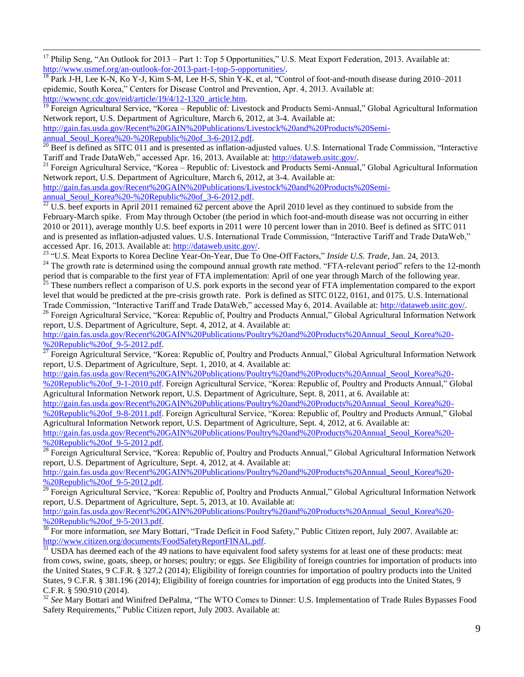<sup>17</sup> Philip Seng, "An Outlook for 2013 – Part 1: Top 5 Opportunities," U.S. Meat Export Federation, 2013. Available at: [http://www.usmef.org/an-outlook-for-2013-part-1-top-5-opportunities/.](http://www.usmef.org/an-outlook-for-2013-part-1-top-5-opportunities/)

 $^{18}$  Park J-H, Lee K-N, Ko Y-J, Kim S-M, Lee H-S, Shin Y-K, et al, "Control of foot-and-mouth disease during 2010–2011 epidemic, South Korea," Centers for Disease Control and Prevention, Apr. 4, 2013. Available at: [http://wwwnc.cdc.gov/eid/article/19/4/12-1320\\_article.htm.](http://wwwnc.cdc.gov/eid/article/19/4/12-1320_article.htm)

<sup>19</sup> Foreign Agricultural Service, "Korea – Republic of: Livestock and Products Semi-Annual," Global Agricultural Information Network report, U.S. Department of Agriculture, March 6, 2012, at 3-4. Available at:

[http://gain.fas.usda.gov/Recent%20GAIN%20Publications/Livestock%20and%20Products%20Semi](http://gain.fas.usda.gov/Recent%20GAIN%20Publications/Livestock%20and%20Products%20Semi-annual_Seoul_Korea%20-%20Republic%20of_3-6-2012.pdf)[annual\\_Seoul\\_Korea%20-%20Republic%20of\\_3-6-2012.pdf.](http://gain.fas.usda.gov/Recent%20GAIN%20Publications/Livestock%20and%20Products%20Semi-annual_Seoul_Korea%20-%20Republic%20of_3-6-2012.pdf)

<sup>20</sup> Beef is defined as SITC 011 and is presented as inflation-adjusted values. U.S. International Trade Commission, "Interactive Tariff and Trade DataWeb," accessed Apr. 16, 2013. Available at: [http://dataweb.usitc.gov/.](http://dataweb.usitc.gov/)

<sup>21</sup> Foreign Agricultural Service, "Korea – Republic of: Livestock and Products Semi-Annual," Global Agricultural Information Network report, U.S. Department of Agriculture, March 6, 2012, at 3-4. Available at:

[http://gain.fas.usda.gov/Recent%20GAIN%20Publications/Livestock%20and%20Products%20Semi-](http://gain.fas.usda.gov/Recent%20GAIN%20Publications/Livestock%20and%20Products%20Semi-annual_Seoul_Korea%20-%20Republic%20of_3-6-2012.pdf)

[annual\\_Seoul\\_Korea%20-%20Republic%20of\\_3-6-2012.pdf.](http://gain.fas.usda.gov/Recent%20GAIN%20Publications/Livestock%20and%20Products%20Semi-annual_Seoul_Korea%20-%20Republic%20of_3-6-2012.pdf)

 $\overline{a}$ 

 $22$  U.S. beef exports in April 2011 remained 62 percent above the April 2010 level as they continued to subside from the February-March spike. From May through October (the period in which foot-and-mouth disease was not occurring in either 2010 or 2011), average monthly U.S. beef exports in 2011 were 10 percent lower than in 2010. Beef is defined as SITC 011 and is presented as inflation-adjusted values. U.S. International Trade Commission, "Interactive Tariff and Trade DataWeb," accessed Apr. 16, 2013. Available at: [http://dataweb.usitc.gov/.](http://dataweb.usitc.gov/)

<sup>23</sup> "U.S. Meat Exports to Korea Decline Year-On-Year, Due To One-Off Factors," *Inside U.S. Trade*, Jan. 24, 2013.

<sup>24</sup> The growth rate is determined using the compound annual growth rate method. "FTA-relevant period" refers to the 12-month period that is comparable to the first year of FTA implementation: April of one year through March of the following year.

 $^{25}$  These numbers reflect a comparison of U.S. pork exports in the second year of FTA implementation compared to the export level that would be predicted at the pre-crisis growth rate. Pork is defined as SITC 0122, 0161, and 0175. U.S. International Trade Commission, "Interactive Tariff and Trade DataWeb," accessed May 6, 2014. Available at: [http://dataweb.usitc.gov/.](http://dataweb.usitc.gov/)

<sup>26</sup> Foreign Agricultural Service, "Korea: Republic of, Poultry and Products Annual," Global Agricultural Information Network report, U.S. Department of Agriculture, Sept. 4, 2012, at 4. Available at:

[http://gain.fas.usda.gov/Recent%20GAIN%20Publications/Poultry%20and%20Products%20Annual\\_Seoul\\_Korea%20-](http://gain.fas.usda.gov/Recent%20GAIN%20Publications/Poultry%20and%20Products%20Annual_Seoul_Korea%20-%20Republic%20of_9-5-2012.pdf) [%20Republic%20of\\_9-5-2012.pdf.](http://gain.fas.usda.gov/Recent%20GAIN%20Publications/Poultry%20and%20Products%20Annual_Seoul_Korea%20-%20Republic%20of_9-5-2012.pdf)

 $\frac{27}{27}$  Foreign Agricultural Service, "Korea: Republic of, Poultry and Products Annual," Global Agricultural Information Network report, U.S. Department of Agriculture, Sept. 1, 2010, at 4. Available at:

[http://gain.fas.usda.gov/Recent%20GAIN%20Publications/Poultry%20and%20Products%20Annual\\_Seoul\\_Korea%20-](http://gain.fas.usda.gov/Recent%20GAIN%20Publications/Poultry%20and%20Products%20Annual_Seoul_Korea%20-%20Republic%20of_9-1-2010.pdf)

%20Republic%20of<sup>-9-1-2010.pdf.</sup> Foreign Agricultural Service, "Korea: Republic of, Poultry and Products Annual," Global Agricultural Information Network report, U.S. Department of Agriculture, Sept. 8, 2011, at 6. Available at:

[http://gain.fas.usda.gov/Recent%20GAIN%20Publications/Poultry%20and%20Products%20Annual\\_Seoul\\_Korea%20-](http://gain.fas.usda.gov/Recent%20GAIN%20Publications/Poultry%20and%20Products%20Annual_Seoul_Korea%20-%20Republic%20of_9-8-2011.pdf) %20Republic%20of 9-8-2011.pdf. Foreign Agricultural Service, "Korea: Republic of, Poultry and Products Annual," Global

Agricultural Information Network report, U.S. Department of Agriculture, Sept. 4, 2012, at 6. Available at: [http://gain.fas.usda.gov/Recent%20GAIN%20Publications/Poultry%20and%20Products%20Annual\\_Seoul\\_Korea%20-](http://gain.fas.usda.gov/Recent%20GAIN%20Publications/Poultry%20and%20Products%20Annual_Seoul_Korea%20-%20Republic%20of_9-5-2012.pdf) %20Republic%20of 9-5-2012.pdf.

<sup>28</sup> Foreign Agricultural Service, "Korea: Republic of, Poultry and Products Annual," Global Agricultural Information Network report, U.S. Department of Agriculture, Sept. 4, 2012, at 4. Available at:

[http://gain.fas.usda.gov/Recent%20GAIN%20Publications/Poultry%20and%20Products%20Annual\\_Seoul\\_Korea%20-](http://gain.fas.usda.gov/Recent%20GAIN%20Publications/Poultry%20and%20Products%20Annual_Seoul_Korea%20-%20Republic%20of_9-5-2012.pdf) %20Republic%20of 9-5-2012.pdf.

<sup>29</sup> Foreign Agricultural Service, "Korea: Republic of, Poultry and Products Annual," Global Agricultural Information Network report, U.S. Department of Agriculture, Sept. 5, 2013, at 10. Available at:

[http://gain.fas.usda.gov/Recent%20GAIN%20Publications/Poultry%20and%20Products%20Annual\\_Seoul\\_Korea%20-](http://gain.fas.usda.gov/Recent%20GAIN%20Publications/Poultry%20and%20Products%20Annual_Seoul_Korea%20-%20Republic%20of_9-5-2013.pdf) %20Republic%20of 9-5-2013.pdf.

<sup>30</sup> For more information, *see* Mary Bottari, "Trade Deficit in Food Safety," Public Citizen report, July 2007. Available at: [http://www.citizen.org/documents/FoodSafetyReportFINAL.pdf.](http://www.citizen.org/documents/FoodSafetyReportFINAL.pdf)

 $31 \overline{USDA}$  has deemed each of the 49 nations to have equivalent food safety systems for at least one of these products: meat from cows, swine, goats, sheep, or horses; poultry; or eggs. *See* Eligibility of foreign countries for importation of products into the United States, 9 C.F.R. § 327.2 (2014); Eligibility of foreign countries for importation of poultry products into the United States, 9 C.F.R. § 381.196 (2014); Eligibility of foreign countries for importation of egg products into the United States, 9 C.F.R. § 590.910 (2014).

<sup>32</sup> See Mary Bottari and Winifred DePalma, "The WTO Comes to Dinner: U.S. Implementation of Trade Rules Bypasses Food Safety Requirements," Public Citizen report, July 2003. Available at: